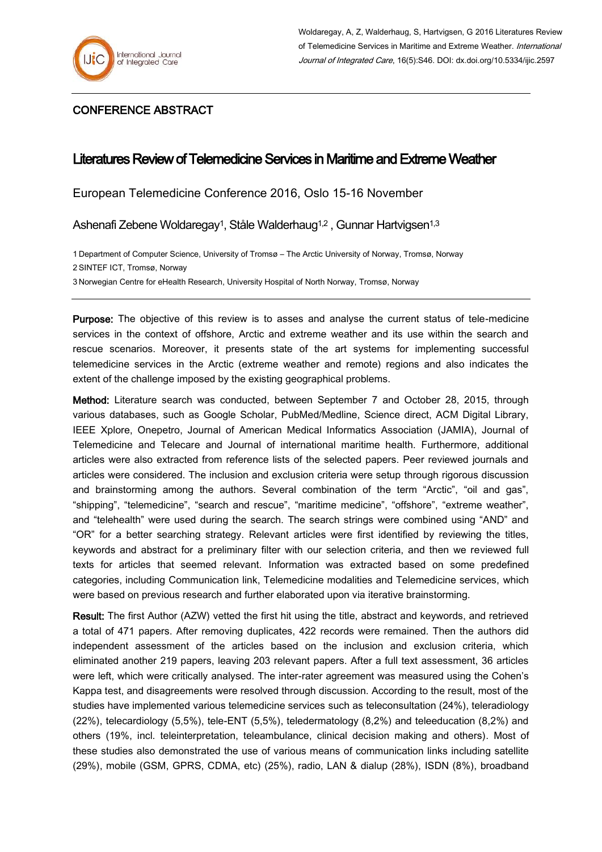

## CONFERENCE ABSTRACT

## Literatures Review of Telemedicine Services in Maritime and Extreme Weather

European Telemedicine Conference 2016, Oslo 15-16 November

Ashenafi Zebene Woldaregay<sup>1</sup>, Ståle Walderhaug<sup>1,2</sup>, Gunnar Hartvigsen<sup>1,3</sup>

1 Department of Computer Science, University of Tromsø – The Arctic University of Norway, Tromsø, Norway 2 SINTEF ICT, Tromsø, Norway 3 Norwegian Centre for eHealth Research, University Hospital of North Norway, Tromsø, Norway

Purpose: The objective of this review is to asses and analyse the current status of tele-medicine services in the context of offshore, Arctic and extreme weather and its use within the search and rescue scenarios. Moreover, it presents state of the art systems for implementing successful telemedicine services in the Arctic (extreme weather and remote) regions and also indicates the extent of the challenge imposed by the existing geographical problems.

Method: Literature search was conducted, between September 7 and October 28, 2015, through various databases, such as Google Scholar, PubMed/Medline, Science direct, ACM Digital Library, IEEE Xplore, Onepetro, Journal of American Medical Informatics Association (JAMIA), Journal of Telemedicine and Telecare and Journal of international maritime health. Furthermore, additional articles were also extracted from reference lists of the selected papers. Peer reviewed journals and articles were considered. The inclusion and exclusion criteria were setup through rigorous discussion and brainstorming among the authors. Several combination of the term "Arctic", "oil and gas", "shipping", "telemedicine", "search and rescue", "maritime medicine", "offshore", "extreme weather", and "telehealth" were used during the search. The search strings were combined using "AND" and "OR" for a better searching strategy. Relevant articles were first identified by reviewing the titles, keywords and abstract for a preliminary filter with our selection criteria, and then we reviewed full texts for articles that seemed relevant. Information was extracted based on some predefined categories, including Communication link, Telemedicine modalities and Telemedicine services, which were based on previous research and further elaborated upon via iterative brainstorming.

Result: The first Author (AZW) vetted the first hit using the title, abstract and keywords, and retrieved a total of 471 papers. After removing duplicates, 422 records were remained. Then the authors did independent assessment of the articles based on the inclusion and exclusion criteria, which eliminated another 219 papers, leaving 203 relevant papers. After a full text assessment, 36 articles were left, which were critically analysed. The inter-rater agreement was measured using the Cohen's Kappa test, and disagreements were resolved through discussion. According to the result, most of the studies have implemented various telemedicine services such as teleconsultation (24%), teleradiology (22%), telecardiology (5,5%), tele-ENT (5,5%), teledermatology (8,2%) and teleeducation (8,2%) and others (19%, incl. teleinterpretation, teleambulance, clinical decision making and others). Most of these studies also demonstrated the use of various means of communication links including satellite (29%), mobile (GSM, GPRS, CDMA, etc) (25%), radio, LAN & dialup (28%), ISDN (8%), broadband